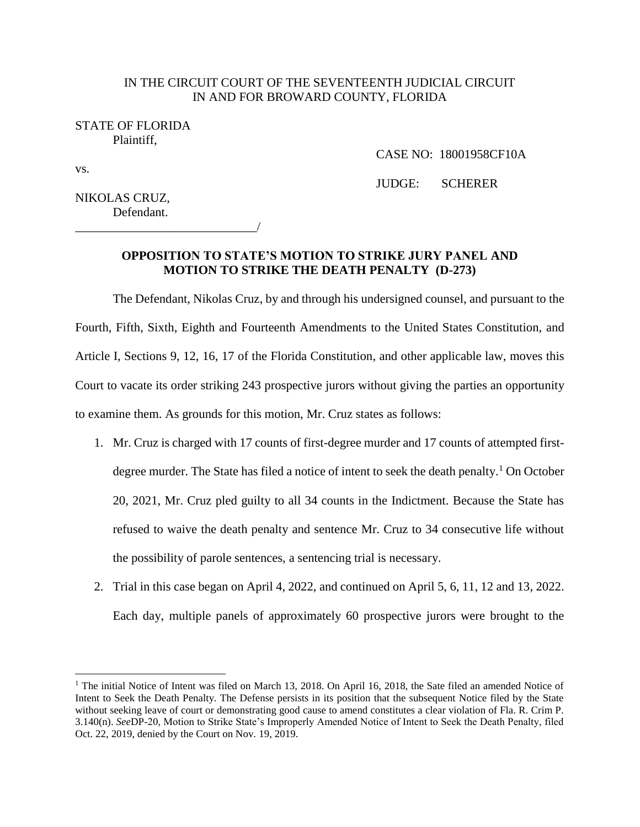### IN THE CIRCUIT COURT OF THE SEVENTEENTH JUDICIAL CIRCUIT IN AND FOR BROWARD COUNTY, FLORIDA

#### STATE OF FLORIDA Plaintiff,

vs.

 $\overline{a}$ 

CASE NO: 18001958CF10A

JUDGE: SCHERER

NIKOLAS CRUZ, Defendant.

\_\_\_\_\_\_\_\_\_\_\_\_\_\_\_\_\_\_\_\_\_\_\_\_\_\_\_\_\_/

# **OPPOSITION TO STATE'S MOTION TO STRIKE JURY PANEL AND MOTION TO STRIKE THE DEATH PENALTY (D-273)**

The Defendant, Nikolas Cruz, by and through his undersigned counsel, and pursuant to the Fourth, Fifth, Sixth, Eighth and Fourteenth Amendments to the United States Constitution, and Article I, Sections 9, 12, 16, 17 of the Florida Constitution, and other applicable law, moves this Court to vacate its order striking 243 prospective jurors without giving the parties an opportunity to examine them. As grounds for this motion, Mr. Cruz states as follows:

- 1. Mr. Cruz is charged with 17 counts of first-degree murder and 17 counts of attempted firstdegree murder. The State has filed a notice of intent to seek the death penalty. <sup>1</sup> On October 20, 2021, Mr. Cruz pled guilty to all 34 counts in the Indictment. Because the State has refused to waive the death penalty and sentence Mr. Cruz to 34 consecutive life without the possibility of parole sentences, a sentencing trial is necessary.
- 2. Trial in this case began on April 4, 2022, and continued on April 5, 6, 11, 12 and 13, 2022. Each day, multiple panels of approximately 60 prospective jurors were brought to the

<sup>&</sup>lt;sup>1</sup> The initial Notice of Intent was filed on March 13, 2018. On April 16, 2018, the Sate filed an amended Notice of Intent to Seek the Death Penalty. The Defense persists in its position that the subsequent Notice filed by the State without seeking leave of court or demonstrating good cause to amend constitutes a clear violation of Fla. R. Crim P. 3.140(n). *See*DP-20, Motion to Strike State's Improperly Amended Notice of Intent to Seek the Death Penalty, filed Oct. 22, 2019, denied by the Court on Nov. 19, 2019.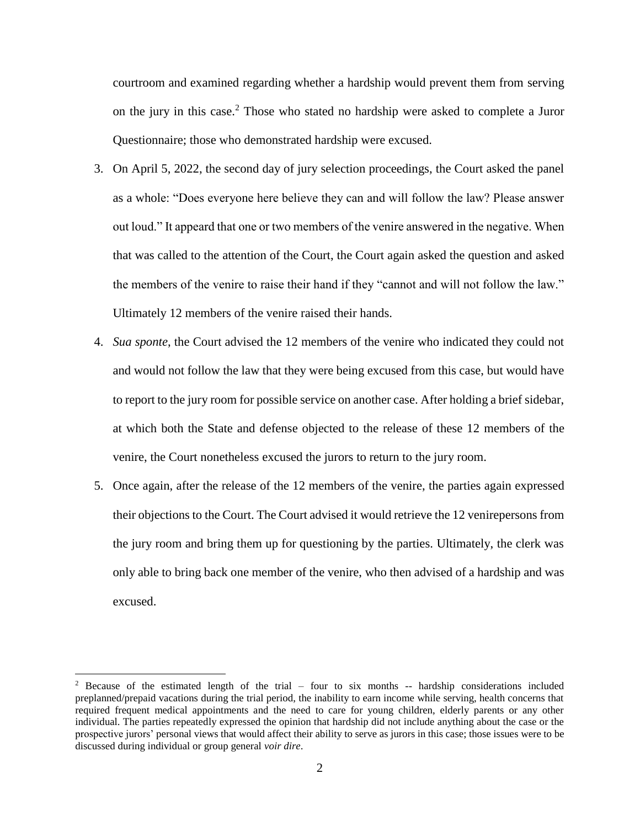courtroom and examined regarding whether a hardship would prevent them from serving on the jury in this case.<sup>2</sup> Those who stated no hardship were asked to complete a Juror Questionnaire; those who demonstrated hardship were excused.

- 3. On April 5, 2022, the second day of jury selection proceedings, the Court asked the panel as a whole: "Does everyone here believe they can and will follow the law? Please answer out loud." It appeard that one or two members of the venire answered in the negative. When that was called to the attention of the Court, the Court again asked the question and asked the members of the venire to raise their hand if they "cannot and will not follow the law." Ultimately 12 members of the venire raised their hands.
- 4. *Sua sponte*, the Court advised the 12 members of the venire who indicated they could not and would not follow the law that they were being excused from this case, but would have to report to the jury room for possible service on another case. After holding a brief sidebar, at which both the State and defense objected to the release of these 12 members of the venire, the Court nonetheless excused the jurors to return to the jury room.
- 5. Once again, after the release of the 12 members of the venire, the parties again expressed their objections to the Court. The Court advised it would retrieve the 12 venirepersons from the jury room and bring them up for questioning by the parties. Ultimately, the clerk was only able to bring back one member of the venire, who then advised of a hardship and was excused.

<sup>&</sup>lt;sup>2</sup> Because of the estimated length of the trial – four to six months  $-$  hardship considerations included preplanned/prepaid vacations during the trial period, the inability to earn income while serving, health concerns that required frequent medical appointments and the need to care for young children, elderly parents or any other individual. The parties repeatedly expressed the opinion that hardship did not include anything about the case or the prospective jurors' personal views that would affect their ability to serve as jurors in this case; those issues were to be discussed during individual or group general *voir dire*.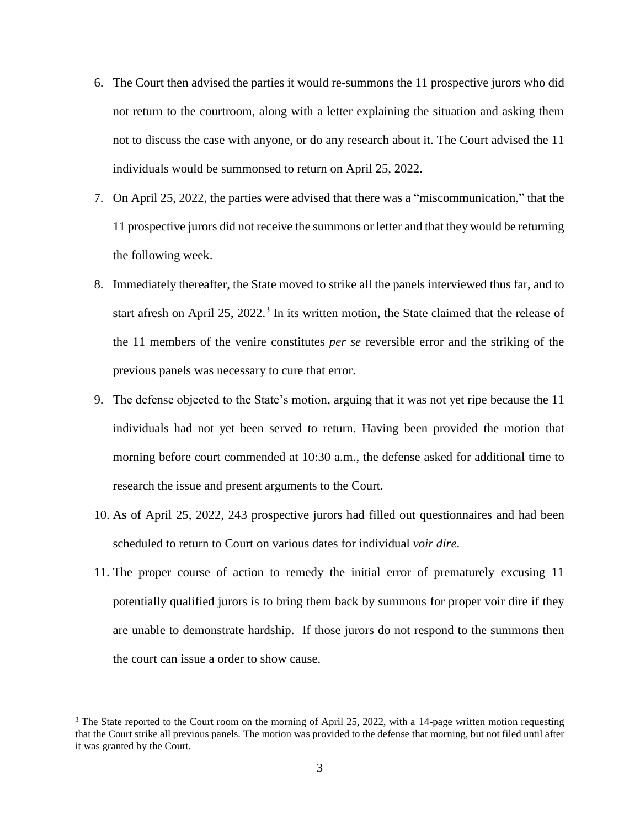- 6. The Court then advised the parties it would re-summons the 11 prospective jurors who did not return to the courtroom, along with a letter explaining the situation and asking them not to discuss the case with anyone, or do any research about it. The Court advised the 11 individuals would be summonsed to return on April 25, 2022.
- 7. On April 25, 2022, the parties were advised that there was a "miscommunication," that the 11 prospective jurors did not receive the summons or letter and that they would be returning the following week.
- 8. Immediately thereafter, the State moved to strike all the panels interviewed thus far, and to start afresh on April 25, 2022.<sup>3</sup> In its written motion, the State claimed that the release of the 11 members of the venire constitutes *per se* reversible error and the striking of the previous panels was necessary to cure that error.
- 9. The defense objected to the State's motion, arguing that it was not yet ripe because the 11 individuals had not yet been served to return. Having been provided the motion that morning before court commended at 10:30 a.m., the defense asked for additional time to research the issue and present arguments to the Court.
- 10. As of April 25, 2022, 243 prospective jurors had filled out questionnaires and had been scheduled to return to Court on various dates for individual *voir dire*.
- 11. The proper course of action to remedy the initial error of prematurely excusing 11 potentially qualified jurors is to bring them back by summons for proper voir dire if they are unable to demonstrate hardship. If those jurors do not respond to the summons then the court can issue a order to show cause.

<sup>&</sup>lt;sup>3</sup> The State reported to the Court room on the morning of April 25, 2022, with a 14-page written motion requesting that the Court strike all previous panels. The motion was provided to the defense that morning, but not filed until after it was granted by the Court.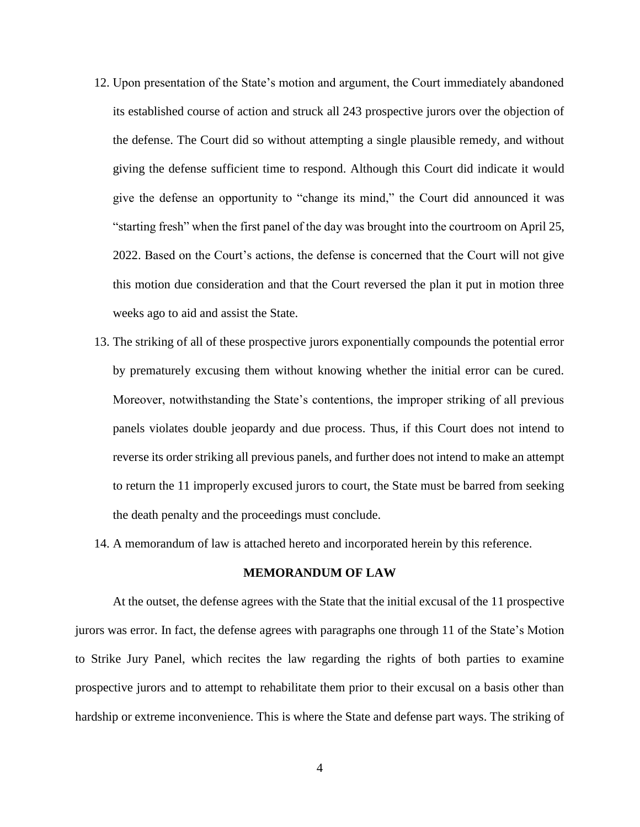- 12. Upon presentation of the State's motion and argument, the Court immediately abandoned its established course of action and struck all 243 prospective jurors over the objection of the defense. The Court did so without attempting a single plausible remedy, and without giving the defense sufficient time to respond. Although this Court did indicate it would give the defense an opportunity to "change its mind," the Court did announced it was "starting fresh" when the first panel of the day was brought into the courtroom on April 25, 2022. Based on the Court's actions, the defense is concerned that the Court will not give this motion due consideration and that the Court reversed the plan it put in motion three weeks ago to aid and assist the State.
- 13. The striking of all of these prospective jurors exponentially compounds the potential error by prematurely excusing them without knowing whether the initial error can be cured. Moreover, notwithstanding the State's contentions, the improper striking of all previous panels violates double jeopardy and due process. Thus, if this Court does not intend to reverse its order striking all previous panels, and further does not intend to make an attempt to return the 11 improperly excused jurors to court, the State must be barred from seeking the death penalty and the proceedings must conclude.
- 14. A memorandum of law is attached hereto and incorporated herein by this reference.

#### **MEMORANDUM OF LAW**

At the outset, the defense agrees with the State that the initial excusal of the 11 prospective jurors was error. In fact, the defense agrees with paragraphs one through 11 of the State's Motion to Strike Jury Panel, which recites the law regarding the rights of both parties to examine prospective jurors and to attempt to rehabilitate them prior to their excusal on a basis other than hardship or extreme inconvenience. This is where the State and defense part ways. The striking of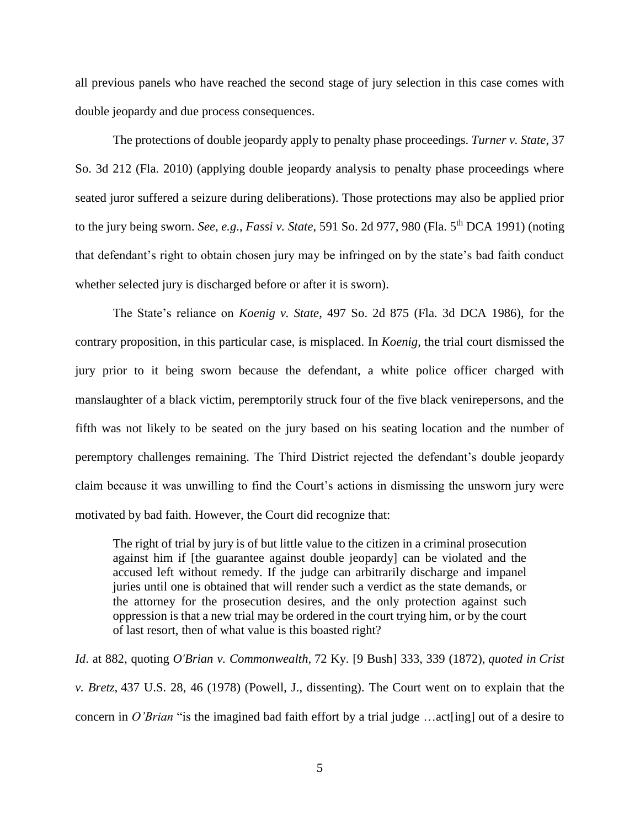all previous panels who have reached the second stage of jury selection in this case comes with double jeopardy and due process consequences.

The protections of double jeopardy apply to penalty phase proceedings. *Turner v. State*, 37 So. 3d 212 (Fla. 2010) (applying double jeopardy analysis to penalty phase proceedings where seated juror suffered a seizure during deliberations). Those protections may also be applied prior to the jury being sworn. *See*, *e.g.*, *Fassi v. State*, 591 So. 2d 977, 980 (Fla. 5th DCA 1991) (noting that defendant's right to obtain chosen jury may be infringed on by the state's bad faith conduct whether selected jury is discharged before or after it is sworn).

The State's reliance on *Koenig v. State*, 497 So. 2d 875 (Fla. 3d DCA 1986), for the contrary proposition, in this particular case, is misplaced. In *Koenig*, the trial court dismissed the jury prior to it being sworn because the defendant, a white police officer charged with manslaughter of a black victim, peremptorily struck four of the five black venirepersons, and the fifth was not likely to be seated on the jury based on his seating location and the number of peremptory challenges remaining. The Third District rejected the defendant's double jeopardy claim because it was unwilling to find the Court's actions in dismissing the unsworn jury were motivated by bad faith. However, the Court did recognize that:

The right of trial by jury is of but little value to the citizen in a criminal prosecution against him if [the guarantee against double jeopardy] can be violated and the accused left without remedy. If the judge can arbitrarily discharge and impanel juries until one is obtained that will render such a verdict as the state demands, or the attorney for the prosecution desires, and the only protection against such oppression is that a new trial may be ordered in the court trying him, or by the court of last resort, then of what value is this boasted right?

*Id*. at 882, quoting *O'Brian v. Commonwealth,* 72 Ky. [9 Bush] 333, 339 (1872), *quoted in Crist v. Bretz,* 437 U.S. 28, 46 (1978) (Powell, J., dissenting). The Court went on to explain that the concern in *O'Brian* "is the imagined bad faith effort by a trial judge ...act[ing] out of a desire to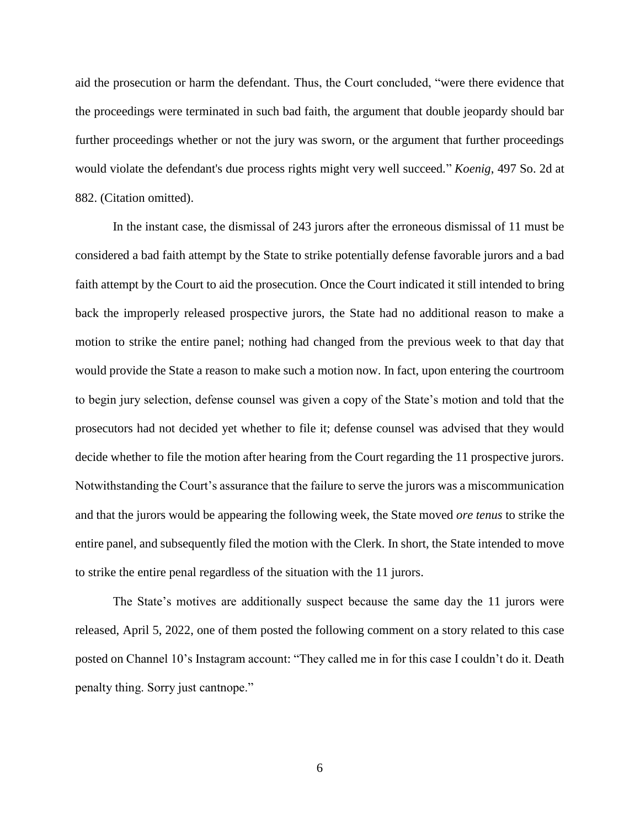aid the prosecution or harm the defendant. Thus, the Court concluded, "were there evidence that the proceedings were terminated in such bad faith, the argument that double jeopardy should bar further proceedings whether or not the jury was sworn, or the argument that further proceedings would violate the defendant's due process rights might very well succeed." *Koenig*, 497 So. 2d at 882. (Citation omitted).

In the instant case, the dismissal of 243 jurors after the erroneous dismissal of 11 must be considered a bad faith attempt by the State to strike potentially defense favorable jurors and a bad faith attempt by the Court to aid the prosecution. Once the Court indicated it still intended to bring back the improperly released prospective jurors, the State had no additional reason to make a motion to strike the entire panel; nothing had changed from the previous week to that day that would provide the State a reason to make such a motion now. In fact, upon entering the courtroom to begin jury selection, defense counsel was given a copy of the State's motion and told that the prosecutors had not decided yet whether to file it; defense counsel was advised that they would decide whether to file the motion after hearing from the Court regarding the 11 prospective jurors. Notwithstanding the Court's assurance that the failure to serve the jurors was a miscommunication and that the jurors would be appearing the following week, the State moved *ore tenus* to strike the entire panel, and subsequently filed the motion with the Clerk. In short, the State intended to move to strike the entire penal regardless of the situation with the 11 jurors.

The State's motives are additionally suspect because the same day the 11 jurors were released, April 5, 2022, one of them posted the following comment on a story related to this case posted on Channel 10's Instagram account: "They called me in for this case I couldn't do it. Death penalty thing. Sorry just cantnope."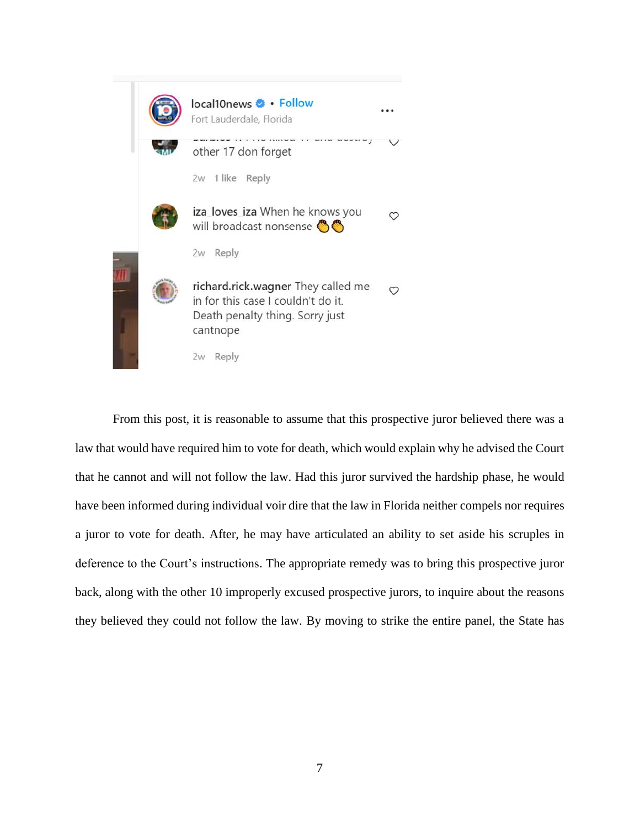

From this post, it is reasonable to assume that this prospective juror believed there was a law that would have required him to vote for death, which would explain why he advised the Court that he cannot and will not follow the law. Had this juror survived the hardship phase, he would have been informed during individual voir dire that the law in Florida neither compels nor requires a juror to vote for death. After, he may have articulated an ability to set aside his scruples in deference to the Court's instructions. The appropriate remedy was to bring this prospective juror back, along with the other 10 improperly excused prospective jurors, to inquire about the reasons they believed they could not follow the law. By moving to strike the entire panel, the State has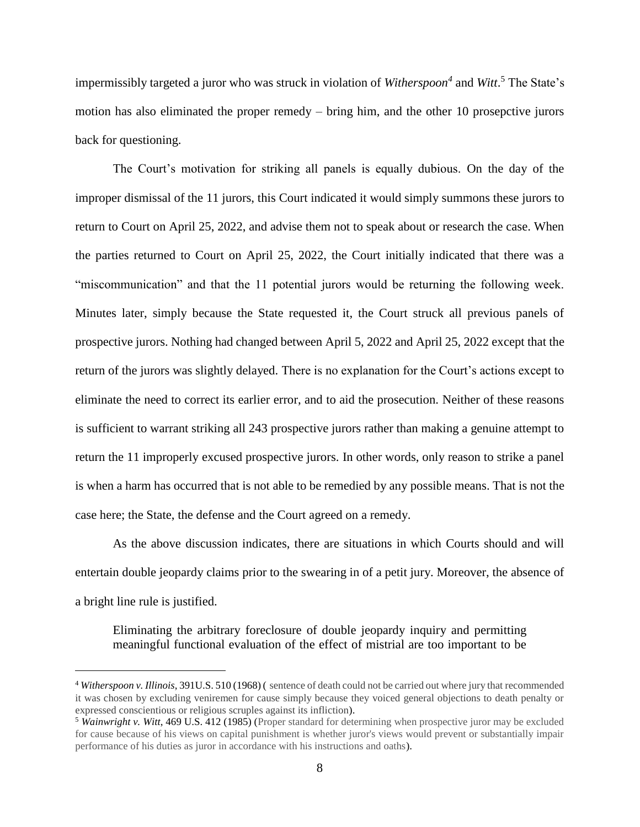impermissibly targeted a juror who was struck in violation of *Witherspoon<sup>4</sup>* and *Witt*. <sup>5</sup> The State's motion has also eliminated the proper remedy – bring him, and the other 10 prosepctive jurors back for questioning.

The Court's motivation for striking all panels is equally dubious. On the day of the improper dismissal of the 11 jurors, this Court indicated it would simply summons these jurors to return to Court on April 25, 2022, and advise them not to speak about or research the case. When the parties returned to Court on April 25, 2022, the Court initially indicated that there was a "miscommunication" and that the 11 potential jurors would be returning the following week. Minutes later, simply because the State requested it, the Court struck all previous panels of prospective jurors. Nothing had changed between April 5, 2022 and April 25, 2022 except that the return of the jurors was slightly delayed. There is no explanation for the Court's actions except to eliminate the need to correct its earlier error, and to aid the prosecution. Neither of these reasons is sufficient to warrant striking all 243 prospective jurors rather than making a genuine attempt to return the 11 improperly excused prospective jurors. In other words, only reason to strike a panel is when a harm has occurred that is not able to be remedied by any possible means. That is not the case here; the State, the defense and the Court agreed on a remedy.

As the above discussion indicates, there are situations in which Courts should and will entertain double jeopardy claims prior to the swearing in of a petit jury. Moreover, the absence of a bright line rule is justified.

Eliminating the arbitrary foreclosure of double jeopardy inquiry and permitting meaningful functional evaluation of the effect of mistrial are too important to be

<sup>4</sup> *Witherspoon v. Illinois*, 391U.S. 510 (1968) ( sentence of death could not be carried out where jury that recommended it was chosen by excluding veniremen for cause simply because they voiced general objections to death penalty or expressed conscientious or religious scruples against its infliction).

<sup>5</sup> *Wainwright v. Witt*, 469 U.S. 412 (1985) (Proper standard for determining when prospective juror may be excluded for cause because of his views on capital punishment is whether juror's views would prevent or substantially impair performance of his duties as juror in accordance with his instructions and oaths).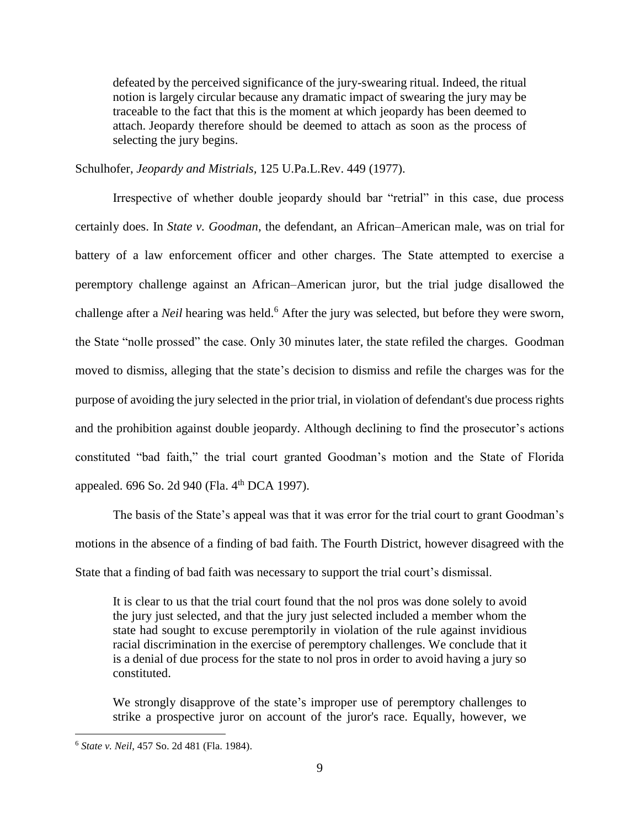defeated by the perceived significance of the jury-swearing ritual. Indeed, the ritual notion is largely circular because any dramatic impact of swearing the jury may be traceable to the fact that this is the moment at which jeopardy has been deemed to attach. Jeopardy therefore should be deemed to attach as soon as the process of selecting the jury begins.

Schulhofer, *Jeopardy and Mistrials,* 125 U.Pa.L.Rev. 449 (1977).

Irrespective of whether double jeopardy should bar "retrial" in this case, due process certainly does. In *State v. Goodman*, the defendant, an African–American male, was on trial for battery of a law enforcement officer and other charges. The State attempted to exercise a peremptory challenge against an African–American juror, but the trial judge disallowed the challenge after a *Neil* hearing was held.<sup>6</sup> After the jury was selected, but before they were sworn, the State "nolle prossed" the case. Only 30 minutes later, the state refiled the charges. Goodman moved to dismiss, alleging that the state's decision to dismiss and refile the charges was for the purpose of avoiding the jury selected in the prior trial, in violation of defendant's due process rights and the prohibition against double jeopardy. Although declining to find the prosecutor's actions constituted "bad faith," the trial court granted Goodman's motion and the State of Florida appealed. 696 So. 2d 940 (Fla. 4<sup>th</sup> DCA 1997).

The basis of the State's appeal was that it was error for the trial court to grant Goodman's motions in the absence of a finding of bad faith. The Fourth District, however disagreed with the State that a finding of bad faith was necessary to support the trial court's dismissal.

It is clear to us that the trial court found that the nol pros was done solely to avoid the jury just selected, and that the jury just selected included a member whom the state had sought to excuse peremptorily in violation of the rule against invidious racial discrimination in the exercise of peremptory challenges. We conclude that it is a denial of due process for the state to nol pros in order to avoid having a jury so constituted.

We strongly disapprove of the state's improper use of peremptory challenges to strike a prospective juror on account of the juror's race. Equally, however, we

<sup>6</sup> *State v. Neil*, 457 So. 2d 481 (Fla. 1984).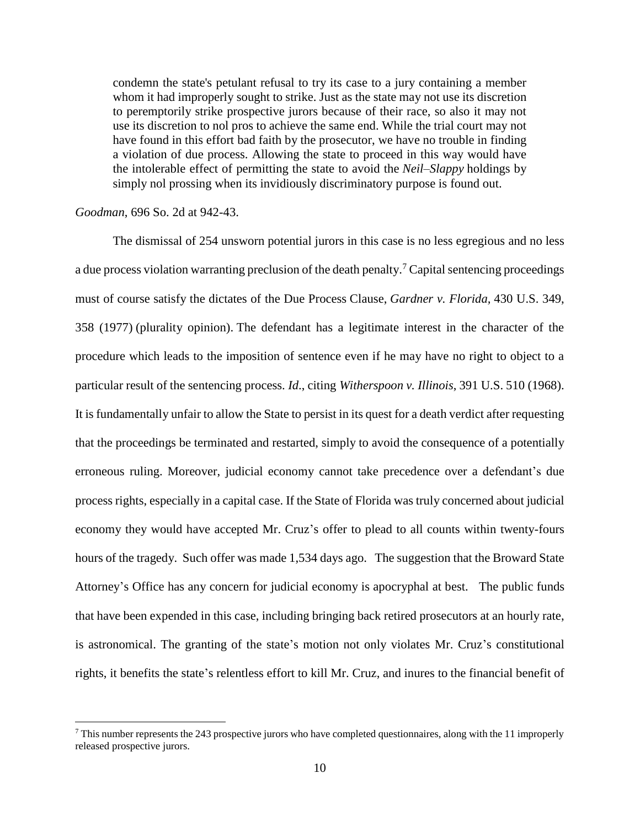condemn the state's petulant refusal to try its case to a jury containing a member whom it had improperly sought to strike. Just as the state may not use its discretion to peremptorily strike prospective jurors because of their race, so also it may not use its discretion to nol pros to achieve the same end. While the trial court may not have found in this effort bad faith by the prosecutor, we have no trouble in finding a violation of due process. Allowing the state to proceed in this way would have the intolerable effect of permitting the state to avoid the *Neil–Slappy* holdings by simply nol prossing when its invidiously discriminatory purpose is found out.

## *Goodman*, 696 So. 2d at 942-43.

 $\overline{a}$ 

The dismissal of 254 unsworn potential jurors in this case is no less egregious and no less a due process violation warranting preclusion of the death penalty.<sup>7</sup> Capital sentencing proceedings must of course satisfy the dictates of the Due Process Clause, *Gardner v. Florida,* 430 U.S. 349, 358 (1977) (plurality opinion). The defendant has a legitimate interest in the character of the procedure which leads to the imposition of sentence even if he may have no right to object to a particular result of the sentencing process. *Id*., citing *Witherspoon v. Illinois*, 391 U.S. 510 (1968). It is fundamentally unfair to allow the State to persist in its quest for a death verdict after requesting that the proceedings be terminated and restarted, simply to avoid the consequence of a potentially erroneous ruling. Moreover, judicial economy cannot take precedence over a defendant's due process rights, especially in a capital case. If the State of Florida was truly concerned about judicial economy they would have accepted Mr. Cruz's offer to plead to all counts within twenty-fours hours of the tragedy. Such offer was made 1,534 days ago. The suggestion that the Broward State Attorney's Office has any concern for judicial economy is apocryphal at best. The public funds that have been expended in this case, including bringing back retired prosecutors at an hourly rate, is astronomical. The granting of the state's motion not only violates Mr. Cruz's constitutional rights, it benefits the state's relentless effort to kill Mr. Cruz, and inures to the financial benefit of

<sup>7</sup> This number represents the 243 prospective jurors who have completed questionnaires, along with the 11 improperly released prospective jurors.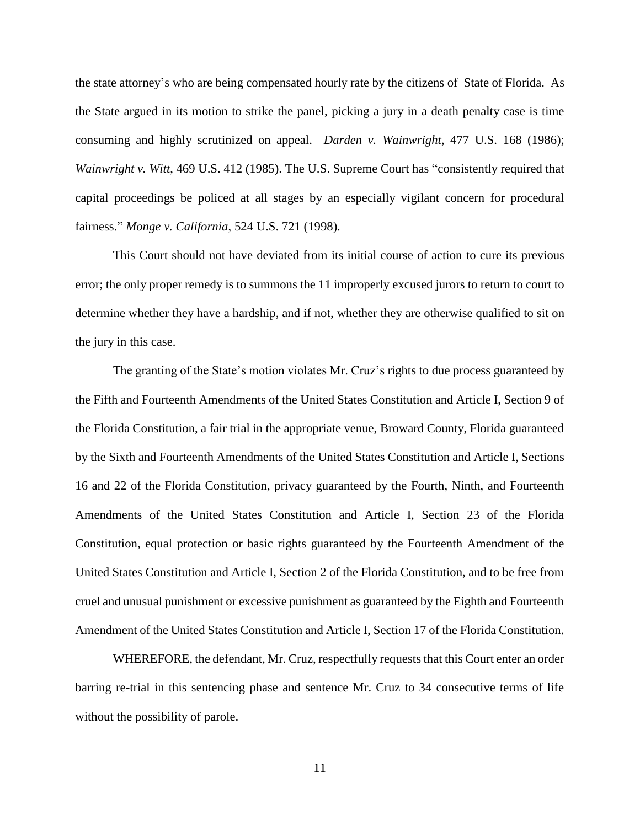the state attorney's who are being compensated hourly rate by the citizens of State of Florida. As the State argued in its motion to strike the panel, picking a jury in a death penalty case is time consuming and highly scrutinized on appeal. *Darden v. Wainwright*, 477 U.S. 168 (1986); *Wainwright v. Witt*, 469 U.S. 412 (1985). The U.S. Supreme Court has "consistently required that capital proceedings be policed at all stages by an especially vigilant concern for procedural fairness." *Monge v. California*, 524 U.S. 721 (1998).

This Court should not have deviated from its initial course of action to cure its previous error; the only proper remedy is to summons the 11 improperly excused jurors to return to court to determine whether they have a hardship, and if not, whether they are otherwise qualified to sit on the jury in this case.

The granting of the State's motion violates Mr. Cruz's rights to due process guaranteed by the Fifth and Fourteenth Amendments of the United States Constitution and Article I, Section 9 of the Florida Constitution, a fair trial in the appropriate venue, Broward County, Florida guaranteed by the Sixth and Fourteenth Amendments of the United States Constitution and Article I, Sections 16 and 22 of the Florida Constitution, privacy guaranteed by the Fourth, Ninth, and Fourteenth Amendments of the United States Constitution and Article I, Section 23 of the Florida Constitution, equal protection or basic rights guaranteed by the Fourteenth Amendment of the United States Constitution and Article I, Section 2 of the Florida Constitution, and to be free from cruel and unusual punishment or excessive punishment as guaranteed by the Eighth and Fourteenth Amendment of the United States Constitution and Article I, Section 17 of the Florida Constitution.

WHEREFORE, the defendant, Mr. Cruz, respectfully requests that this Court enter an order barring re-trial in this sentencing phase and sentence Mr. Cruz to 34 consecutive terms of life without the possibility of parole.